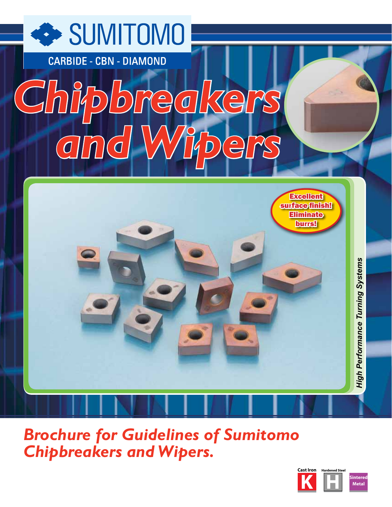

**Brochure for Guidelines of Sumitomo Chipbreakers and Wipers.** 

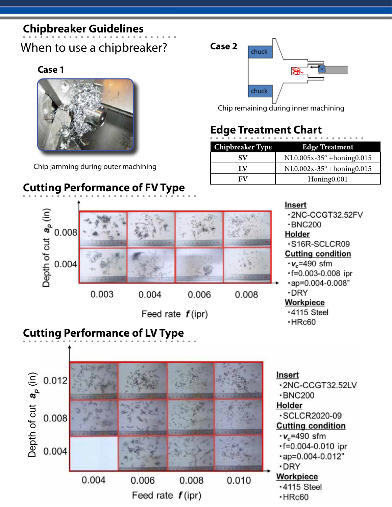# **Chipbreaker Guidelines**

When to use a chipbreaker?

### **Case 1**



Chip jamming during outer machining

# **Cutting Performance of FV Type**



Chip remaining during inner machining

# **Edge Treatment Chart**

| <b>Chipbreaker Type</b> | <b>Edge Treatment</b>              |
|-------------------------|------------------------------------|
| SV                      | $NLO.005x-35^{\circ}+honing 0.015$ |
| LV                      | $NLO.002x-35^{\circ}+honing 0.015$ |
| FV                      | Honing0.001                        |

Insert



Feed rate  $f$ (ipr)

### $-BNC200$ Holder ·S16R-SCLCR09

-2NC-CCGT32.52FV

### **Cutting condition**

- $\cdot$ v<sub>c</sub>=490 sfm
- $-f=0.003-0.008$  ipr
- $\cdot$ ap=0.004-0.008"
- $\cdot$ DRY

### **Workpiece**

- $\cdot$ 4115 Steel
- $\cdot$ HRc60

# **Cutting Performance of LV Type**

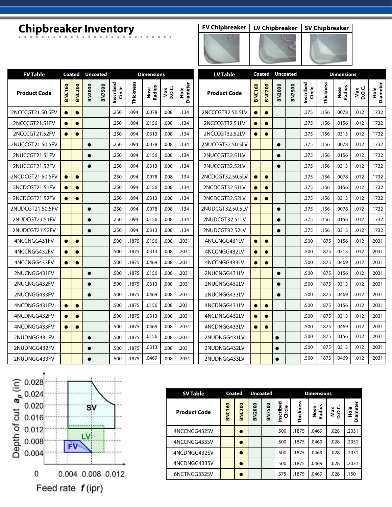# **Chipbreaker Inventory FV Chipbreaker LV Chipbreaker SV Chipbreaker**



| <b>SV Chipbreaker</b> |
|-----------------------|
|                       |
|                       |
|                       |
|                       |

| <b>FV Table</b>     | <b>Coated</b> |               | <b>Uncoated</b> |               |                     |           | <b>Dimensions</b> |              |                                  | <b>LV Table</b>                      | Coated    |               | <b>Uncoated</b> |               | <b>Dimensions</b>   |           |                |              |                  |
|---------------------|---------------|---------------|-----------------|---------------|---------------------|-----------|-------------------|--------------|----------------------------------|--------------------------------------|-----------|---------------|-----------------|---------------|---------------------|-----------|----------------|--------------|------------------|
| <b>Product Code</b> | <b>BNC160</b> | <b>BNC200</b> | <b>BN2000</b>   | <b>BN7500</b> | Inscribed<br>Circle | Thickness | Nose<br>Radius    | Max<br>D.O.C | <b>Diameter</b><br>$\frac{e}{2}$ | <b>BNC160</b><br><b>Product Code</b> |           | <b>BNC200</b> | <b>BN2000</b>   | <b>BN7500</b> | Inscribed<br>Circle | Thickness | Nose<br>Radius | Max<br>D.O.C | Hole<br>Diameter |
| 2NCCCGT21.50.5FV    |               | $\bullet$     |                 |               | .250                | .094      | .0078             | .008         | .134                             | 2NCCCGT32.50.5LV                     |           | $\bullet$     |                 |               | .375                | .156      | .0078          | .012         | .1732            |
| 2NCCCGT21.51FV      | $\bullet$     | $\bullet$     |                 |               | .250                | .094      | .0156             | .008         | .134                             | 2NCCCGT32.51LV                       | $\bullet$ | $\bullet$     |                 |               | .375                | .156      | .0156          | .012         | .1732            |
| 2NCCCGT21.52FV      | $\bullet$     | $\bullet$     |                 |               | .250                | .094      | .0313             | .008         | .134                             | 2NCCCGT32.52LV                       | $\bullet$ | $\bullet$     |                 |               | .375                | .156      | .0313          | .012         | .1732            |
| 2NUCCGT21.50.5FV    |               |               | $\bullet$       |               | .250                | .094      | .0078             | .008         | .134                             | 2NUCCGT32.50.5LV                     |           |               | $\bullet$       |               | .375                | .156      | .0078          | .012         | .1732            |
| 2NUCCGT21.51FV      |               |               |                 |               | .250                | .094      | .0156             | .008         | .134                             | 2NUCCGT32.51LV                       |           |               | $\bullet$       |               | .375                | .156      | .0156          | .012         | .1732            |
| 2NUCCGT21.52FV      |               |               | ●               |               | .250                | .094      | .0313             | .008         | .134                             | 2NUCCGT32.52LV                       |           |               | $\bullet$       |               | .375                | .156      | .0313          | .012         | .1732            |
| 2NCDCGT21.50.5FV    | $\bullet$     | $\bullet$     |                 |               | .250                | .094      | .0078             | .008         | .134                             | 2NCDCGT32.50.5LV                     | $\bullet$ | $\bullet$     |                 |               | .375                | .156      | .0078          | .012         | .1732            |
| 2NCDCGT21.51FV      |               | $\bullet$     |                 |               | .250                | .094      | .0156             | .008         | .134                             | 2NCDCGT32.51LV                       |           | $\bullet$     |                 |               | .375                | .156      | .0156          | .012         | .1732            |
| 2NCDCGT21.52FV      | $\bullet$     | $\bullet$     |                 |               | .250                | .094      | .0313             | .008         | .134                             | 2NCDCGT32.52LV                       | $\bullet$ | $\bullet$     |                 |               | .375                | .156      | .0313          | .012         | .1732            |
| 2NUDCGT21.50.5FV    |               |               | $\bullet$       |               | .250                | .094      | .0078             | .008         | .134                             | 2NUDCGT32.50.5LV                     |           |               | $\bullet$       |               | .375                | .156      | .0078          | .012         | .1732            |
| 2NUDCGT21.51FV      |               |               | $\bullet$       |               | .250                | .094      | .0156             | .008         | .134                             | 2NUDCGT32.51LV                       |           |               | $\bullet$       |               | .375                | .156      | .0156          | .012         | .1732            |
| 2NUDCGT21.52FV      |               |               |                 |               | .250                | .094      | .0313             | .008         | .134                             | 2NUDCGT32.52LV                       |           |               | $\bullet$       |               | .375                | .156      | .0313          | .012         | .1732            |
| 4NCCNGG431FV        | $\bullet$     | $\bullet$     |                 |               | .500                | .1875     | .0156             | .008         | .2031                            | 4NCCNGG431LV                         | $\bullet$ | $\bullet$     |                 |               | .500                | .1875     | .0156          | .012         | .2031            |
| 4NCCNGG432FV        | $\bullet$     | $\bullet$     |                 |               | .500                | .1875     | .0313             | .008         | .2031                            | 4NCCNGG432LV                         | $\bullet$ | $\bullet$     |                 |               | .500                | .1875     | .0313          | .012         | .2031            |
| 4NCCNGG433FV        |               | $\bullet$     |                 |               | .500                | .1875     | .0469             | .008         | .2031                            | 4NCCNGG433LV                         |           | $\bullet$     |                 |               | .500                | .1875     | .0469          | .012         | .2031            |
| 2NUCNGG431FV        |               |               | $\bullet$       |               | .500                | .1875     | .0156             | .008         | .2031                            | 2NUCNGG431LV                         |           |               | $\bullet$       |               | .500                | .1875     | .0156          | .012         | .2031            |
| 2NUCNGG432FV        |               |               | $\bullet$       |               | .500                | .1875     | .0313             | .008         | .2031                            | 2NUCNGG432LV                         |           |               | $\bullet$       |               | .500                | .1875     | .0313          | .012         | .2031            |
| 2NUCNGG433FV        |               |               |                 |               | .500                | .1875     | .0469             | .008         | .2031                            | 2NUCNGG433LV                         |           |               | $\bullet$       |               | .500                | .1875     | .0469          | .012         | .2031            |
| 4NCDNGG431FV        | $\bullet$     | $\bullet$     |                 |               | .500                | .1875     | .0156             | .008         | .2031                            | 4NCDNGG431LV                         | $\bullet$ | $\bullet$     |                 |               | .500                | .1875     | .0156          | .012         | .2031            |
| 4NCDNGG432FV        | $\bullet$     | $\bullet$     |                 |               | .500                | .1875     | .0313             | .008         | .2031                            | 4NCDNGG432LV                         | $\bullet$ | $\bullet$     |                 |               | .500                | .1875     | .0313          | .012         | .2031            |
| 4NCDNGG433FV        | $\bullet$     | $\bullet$     |                 |               | .500                | .1875     | .0469             | .008         | .2031                            | 4NCDNGG433LV                         | $\bullet$ | $\bullet$     |                 |               | .500                | .1875     | .0469          | .012         | .2031            |
| 2NUDNGG431FV        |               |               | $\bullet$       |               | .500                | .1875     | .0156             | .008         | .2031                            | 2NUDNGG431LV                         |           |               |                 |               | .500                | .1875     | .0156          | .012         | .2031            |
| 2NUDNGG432FV        |               |               |                 |               | .500                | .1875     | .0313             | .008         | .2031                            | 2NUDNGG432LV                         |           |               |                 |               | .500                | .1875     | .0313          | .012         | .2031            |
| 2NUDNGG433FV        |               |               | $\bullet$       |               | .500                | .1875     | .0469             | .008         | .2031                            | 2NUDNGG433LV                         |           |               |                 |               | .500                | .1875     | .0469          | .012         | .2031            |



| <b>SV Table</b>     | Coated        |               | <b>Uncoated</b> |               |                            |           | <b>Dimensions</b>   |              |                         |
|---------------------|---------------|---------------|-----------------|---------------|----------------------------|-----------|---------------------|--------------|-------------------------|
| <b>Product Code</b> | <b>BNC160</b> | <b>BNC200</b> | BN2000          | <b>BN7500</b> | Inscribed<br><b>Circle</b> | Thickness | n<br>Radius<br>Nose | Max<br>D.O.C | Diameter<br>$rac{e}{2}$ |
| 4NCCNGG432SV        |               |               |                 |               | .500                       | .1875     | .0469               | .028         | .2031                   |
| 4NCCNGG433SV        |               |               |                 |               | .500                       | .1875     | .0469               | .028         | .2031                   |
| 4NCDNGG432SV        |               |               |                 |               | .500                       | .1875     | .0469               | .028         | .2031                   |
| 4NCDNGG433SV        |               |               |                 |               | .500                       | .1875     | .0469               | .028         | .2031                   |
| 6NCTNGG332SV        |               |               |                 |               | .375                       | .1875     | .0469               | .028         | .150                    |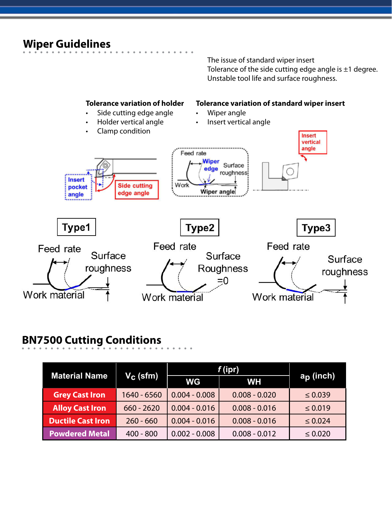### **Wiper Guidelines**

The issue of standard wiper insert Tolerance of the side cutting edge angle is  $\pm 1$  degree. Unstable tool life and surface roughness.



# **BN7500 Cutting Conditions**

|                          |                      | f (ipr)         |                 |                       |
|--------------------------|----------------------|-----------------|-----------------|-----------------------|
| <b>Material Name</b>     | V <sub>C</sub> (sfm) | <b>WG</b>       | <b>WH</b>       | a <sub>p</sub> (inch) |
| <b>Grey Cast Iron</b>    | 1640 - 6560          | $0.004 - 0.008$ | $0.008 - 0.020$ | $\leq 0.039$          |
| <b>Alloy Cast Iron</b>   | $660 - 2620$         | $0.004 - 0.016$ | $0.008 - 0.016$ | $\leq 0.019$          |
| <b>Ductile Cast Iron</b> | $260 - 660$          | $0.004 - 0.016$ | $0.008 - 0.016$ | $\leq 0.024$          |
| <b>Powdered Metal</b>    | $400 - 800$          | $0.002 - 0.008$ | $0.008 - 0.012$ | $\leq 0.020$          |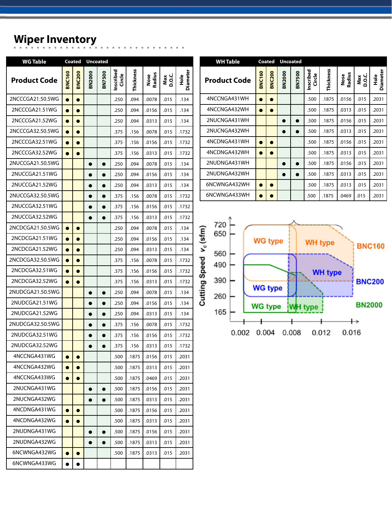# **Wiper Inventory**

| <b>WG Table</b>     |               | Coated        |               | <b>Uncoated</b> |                            |           |                |              |                         |
|---------------------|---------------|---------------|---------------|-----------------|----------------------------|-----------|----------------|--------------|-------------------------|
| <b>Product Code</b> | <b>BNC160</b> | <b>BNC200</b> | <b>BN2000</b> | <b>BN7500</b>   | Inscribed<br><b>Circle</b> | Thickness | Nose<br>Radius | Max<br>D.O.C | Diameter<br><b>Hole</b> |
| 2NCCCGA21.50.5WG    | $\bullet$     | $\bullet$     |               |                 | .250                       | .094      | .0078          | .015         | .134                    |
| 2NCCCGA21.51WG      | $\bullet$     | $\bullet$     |               |                 | .250                       | .094      | .0156          | .015         | .134                    |
| 2NCCCGA21.52WG      | $\bullet$     | $\bullet$     |               |                 | .250                       | .094      | .0313          | .015         | .134                    |
| 2NCCCGA32.50.5WG    |               |               |               |                 | .375                       | .156      | .0078          | .015         | .1732                   |
| 2NCCCGA32.51WG      |               |               |               |                 | .375                       | .156      | .0156          | .015         | .1732                   |
| 2NCCCGA32.52WG      | $\bullet$     | ●             |               |                 | .375                       | .156      | .0313          | .015         | .1732                   |
| 2NUCCGA21.50.5WG    |               |               | $\bullet$     | $\bullet$       | .250                       | .094      | .0078          | .015         | .134                    |
| 2NUCCGA21.51WG      |               |               |               | 0               | .250                       | .094      | .0156          | .015         | .134                    |
| 2NUCCGA21.52WG      |               |               |               |                 | .250                       | .094      | .0313          | .015         | .134                    |
| 2NUCCGA32.50.5WG    |               |               |               |                 | .375                       | .156      | .0078          | .015         | .1732                   |
| 2NUCCGA32.51WG      |               |               |               |                 | .375                       | .156      | .0156          | .015         | .1732                   |
| 2NUCCGA32.52WG      |               |               |               |                 | .375                       | .156      | .0313          | .015         | .1732                   |
| 2NCDCGA21.50.5WG    | $\bullet$     | $\bullet$     |               |                 | .250                       | .094      | .0078          | .015         | .134                    |
| 2NCDCGA21.51WG      |               |               |               |                 | .250                       | .094      | .0156          | .015         | .134                    |
| 2NCDCGA21.52WG      |               |               |               |                 | .250                       | .094      | .0313          | .015         | .134                    |
| 2NCDCGA32.50.5WG    | $\bullet$     | $\bullet$     |               |                 | .375                       | .156      | .0078          | .015         | .1732                   |
| 2NCDCGA32.51WG      | $\bullet$     | $\bullet$     |               |                 | .375                       | .156      | .0156          | .015         | .1732                   |
| 2NCDCGA32.52WG      |               |               |               |                 | .375                       | .156      | .0313          | .015         | .1732                   |
| 2NUDCGA21.50.5WG    |               |               |               |                 | .250                       | .094      | .0078          | .015         | .134                    |
| 2NUDCGA21.51WG      |               |               |               |                 | .250                       | .094      | .0156          | .015         | .134                    |
| 2NUDCGA21.52WG      |               |               |               |                 | .250                       | .094      | .0313          | .015         | .134                    |
| 2NUDCGA32.50.5WG    |               |               |               |                 | .375                       | .156      | .0078          | .015         | .1732                   |
| 2NUDCGA32.51WG      |               |               |               |                 | .375                       | .156      | .0156          | .015         | .1732                   |
| 2NUDCGA32.52WG      |               |               |               |                 | .375                       | .156      | .0313          | .015         | .1732                   |
| 4NCCNGA431WG        | $\bullet$     | $\bullet$     |               |                 | .500                       | .1875     | .0156          | .015         | .2031                   |
| 4NCCNGA432WG        | $\bullet$     | $\bullet$     |               |                 | .500                       | .1875     | .0313          | .015         | .2031                   |
| 4NCCNGA433WG        | $\bullet$     | $\bullet$     |               |                 | .500                       | .1875     | .0469          | .015         | .2031                   |
| 2NUCNGA431WG        |               |               | ●             |                 | .500                       | .1875     | .0156          | .015         | .2031                   |
| 2NUCNGA432WG        |               |               | $\bullet$     |                 | .500                       | .1875     | .0313          | .015         | .2031                   |
| 4NCDNGA431WG        | $\bullet$     | $\bullet$     |               |                 | .500                       | .1875     | .0156          | .015         | .2031                   |
| 4NCDNGA432WG        | $\bullet$     | $\bullet$     |               |                 | .500                       | .1875     | .0313          | .015         | .2031                   |
| 2NUDNGA431WG        |               |               | $\bullet$     | $\bullet$       | .500                       | .1875     | .0156          | .015         | .2031                   |
| 2NUDNGA432WG        |               |               |               |                 | .500                       | .1875     | .0313          | .015         | .2031                   |
| 6NCWNGA432WG        | $\bullet$     | $\bullet$     |               |                 | .500                       | .1875     | .0313          | .015         | .2031                   |
| 6NCWNGA433WG        |               |               |               |                 |                            |           |                |              |                         |

| WH Table            |               | Coated        | <b>Uncoated</b> |               |                     |           |                |                 |                         |
|---------------------|---------------|---------------|-----------------|---------------|---------------------|-----------|----------------|-----------------|-------------------------|
| <b>Product Code</b> | <b>BNC160</b> | <b>BNC200</b> | <b>BN2000</b>   | <b>BN7500</b> | Inscribed<br>Circle | Thickness | Radius<br>Nose | o.c<br>Q<br>Max | Diameter<br>$rac{e}{x}$ |
| 4NCCNGA431WH        | ٠             |               |                 |               | .500                | .1875     | .0156          | .015            | .2031                   |
| 4NCCNGA432WH        |               |               |                 |               | .500                | .1875     | .0313          | .015            | .2031                   |
| 2NUCNGA431WH        |               |               | ٠               |               | .500                | .1875     | .0156          | .015            | .2031                   |
| 2NUCNGA432WH        |               |               | ٠               |               | .500                | .1875     | .0313          | .015            | .2031                   |
| 4NCDNGA431WH        |               |               |                 |               | .500                | .1875     | .0156          | .015            | .2031                   |
| 4NCDNGA432WH        |               |               |                 |               | .500                | .1875     | .0313          | .015            | .2031                   |
| 2NUDNGA431WH        |               |               | ٠               |               | .500                | .1875     | .0156          | .015            | .2031                   |
| 2NUDNGA432WH        |               |               | ٠               |               | .500                | .1875     | .0313          | .015            | .2031                   |
| 6NCWNGA432WH        |               |               |                 |               | .500                | .1875     | .0313          | .015            | .2031                   |
| 6NCWNGA433WH        |               |               |                 |               | .500                | .1875     | .0469          | .015            | .2031                   |